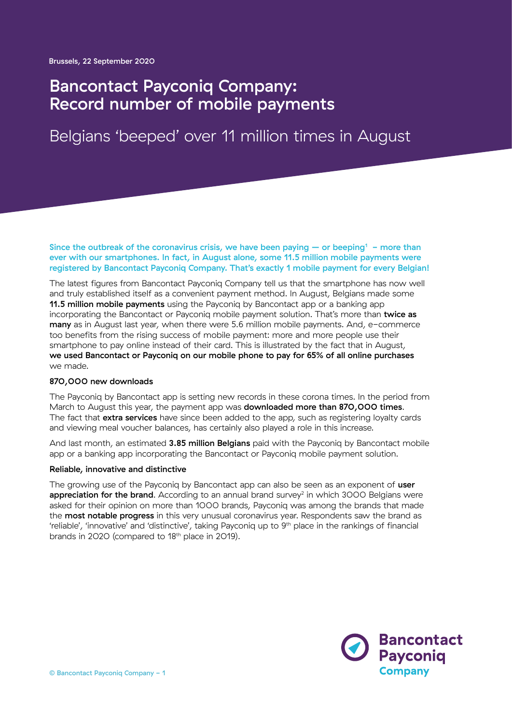## Bancontact Payconiq Company: Record number of mobile payments

# Belgians 'beeped' over 11 million times in August

Since the outbreak of the coronavirus crisis, we have been paying  $-$  or beeping<sup>1</sup> - more than ever with our smartphones. In fact, in August alone, some 11.5 million mobile payments were registered by Bancontact Payconiq Company. That's exactly 1 mobile payment for every Belgian!

The latest figures from Bancontact Payconiq Company tell us that the smartphone has now well and truly established itself as a convenient payment method. In August, Belgians made some **11.5 million mobile payments** using the Payconiq by Bancontact app or a banking app incorporating the Bancontact or Payconiq mobile payment solution. That's more than twice as many as in August last year, when there were 5.6 million mobile payments. And, e-commerce too benefits from the rising success of mobile payment: more and more people use their smartphone to pay online instead of their card. This is illustrated by the fact that in August, we used Bancontact or Payconiq on our mobile phone to pay for 65% of all online purchases we made.

## 870,000 new downloads

The Payconiq by Bancontact app is setting new records in these corona times. In the period from March to August this year, the payment app was **downloaded more than 870,000 times.** The fact that extra services have since been added to the app, such as registering loyalty cards and viewing meal voucher balances, has certainly also played a role in this increase.

And last month, an estimated 3.85 million Belgians paid with the Payconiq by Bancontact mobile app or a banking app incorporating the Bancontact or Payconiq mobile payment solution.

## Reliable, innovative and distinctive

The growing use of the Payconig by Bancontact app can also be seen as an exponent of user **appreciation for the brand.** According to an annual brand survey<sup>2</sup> in which 3000 Belgians were asked for their opinion on more than 1000 brands, Payconiq was among the brands that made the **most notable progress** in this very unusual coronavirus year. Respondents saw the brand as 'reliable', 'innovative' and 'distinctive', taking Payconiq up to 9th place in the rankings of financial brands in 2020 (compared to 18<sup>th</sup> place in 2019).